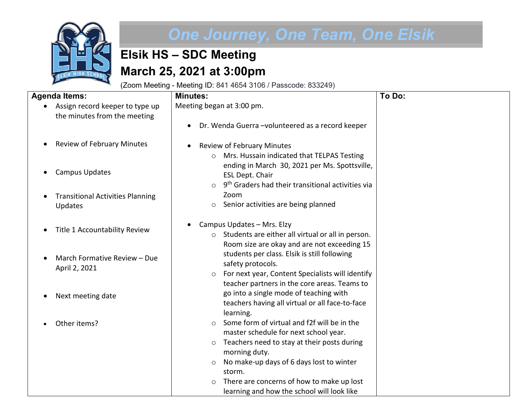

## *One Journey, One Team, One Elsik*

## **Elsik HS – SDC Meeting March 25, 2021 at 3:00pm**

(Zoom Meeting - Meeting ID: 841 4654 3106 / Passcode: 833249)

| <b>Agenda Items:</b>                                            | <b>Minutes:</b>                                                                                                                                                                 | To Do: |
|-----------------------------------------------------------------|---------------------------------------------------------------------------------------------------------------------------------------------------------------------------------|--------|
| Assign record keeper to type up<br>the minutes from the meeting | Meeting began at 3:00 pm.                                                                                                                                                       |        |
|                                                                 | Dr. Wenda Guerra - volunteered as a record keeper                                                                                                                               |        |
| <b>Review of February Minutes</b>                               | <b>Review of February Minutes</b><br>Mrs. Hussain indicated that TELPAS Testing<br>$\circ$                                                                                      |        |
| <b>Campus Updates</b>                                           | ending in March 30, 2021 per Ms. Spottsville,<br>ESL Dept. Chair                                                                                                                |        |
| <b>Transitional Activities Planning</b><br>Updates              | 9 <sup>th</sup> Graders had their transitional activities via<br>$\circ$<br>Zoom<br>Senior activities are being planned<br>$\circ$                                              |        |
| Title 1 Accountability Review                                   | Campus Updates - Mrs. Elzy<br>o Students are either all virtual or all in person.                                                                                               |        |
| March Formative Review - Due<br>April 2, 2021                   | Room size are okay and are not exceeding 15<br>students per class. Elsik is still following<br>safety protocols.<br>For next year, Content Specialists will identify<br>$\circ$ |        |
| Next meeting date                                               | teacher partners in the core areas. Teams to<br>go into a single mode of teaching with<br>teachers having all virtual or all face-to-face                                       |        |
| Other items?                                                    | learning.<br>Some form of virtual and f2f will be in the<br>master schedule for next school year.                                                                               |        |
|                                                                 | Teachers need to stay at their posts during<br>$\circ$<br>morning duty.                                                                                                         |        |
|                                                                 | No make-up days of 6 days lost to winter<br>$\circ$<br>storm.                                                                                                                   |        |
|                                                                 | There are concerns of how to make up lost<br>$\circ$                                                                                                                            |        |
|                                                                 | learning and how the school will look like                                                                                                                                      |        |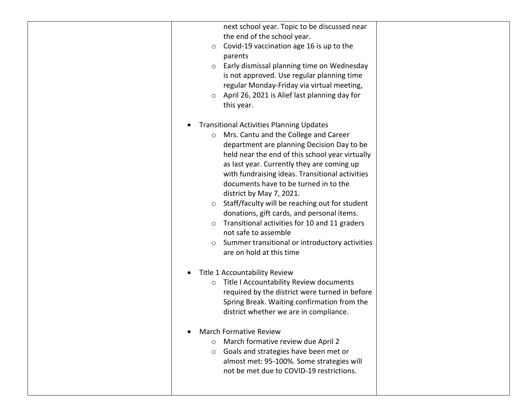| next school year. Topic to be discussed near              |  |
|-----------------------------------------------------------|--|
| the end of the school year.                               |  |
| Covid-19 vaccination age 16 is up to the<br>$\circ$       |  |
| parents                                                   |  |
| Early dismissal planning time on Wednesday<br>$\circ$     |  |
| is not approved. Use regular planning time                |  |
| regular Monday-Friday via virtual meeting,                |  |
| April 26, 2021 is Alief last planning day for<br>$\circ$  |  |
| this year.                                                |  |
|                                                           |  |
| <b>Transitional Activities Planning Updates</b>           |  |
| $\bullet$                                                 |  |
| Mrs. Cantu and the College and Career<br>$\circ$          |  |
| department are planning Decision Day to be                |  |
| held near the end of this school year virtually           |  |
| as last year. Currently they are coming up                |  |
| with fundraising ideas. Transitional activities           |  |
| documents have to be turned in to the                     |  |
| district by May 7, 2021.                                  |  |
| Staff/faculty will be reaching out for student<br>$\circ$ |  |
| donations, gift cards, and personal items.                |  |
| Transitional activities for 10 and 11 graders<br>$\circ$  |  |
| not safe to assemble                                      |  |
| Summer transitional or introductory activities<br>$\circ$ |  |
| are on hold at this time                                  |  |
|                                                           |  |
| Title 1 Accountability Review                             |  |
| Title I Accountability Review documents<br>$\circ$        |  |
| required by the district were turned in before            |  |
| Spring Break. Waiting confirmation from the               |  |
| district whether we are in compliance.                    |  |
|                                                           |  |
| <b>March Formative Review</b><br>$\bullet$                |  |
| March formative review due April 2                        |  |
| Goals and strategies have been met or<br>$\circ$          |  |
| almost met: 95-100%. Some strategies will                 |  |
| not be met due to COVID-19 restrictions.                  |  |
|                                                           |  |
|                                                           |  |